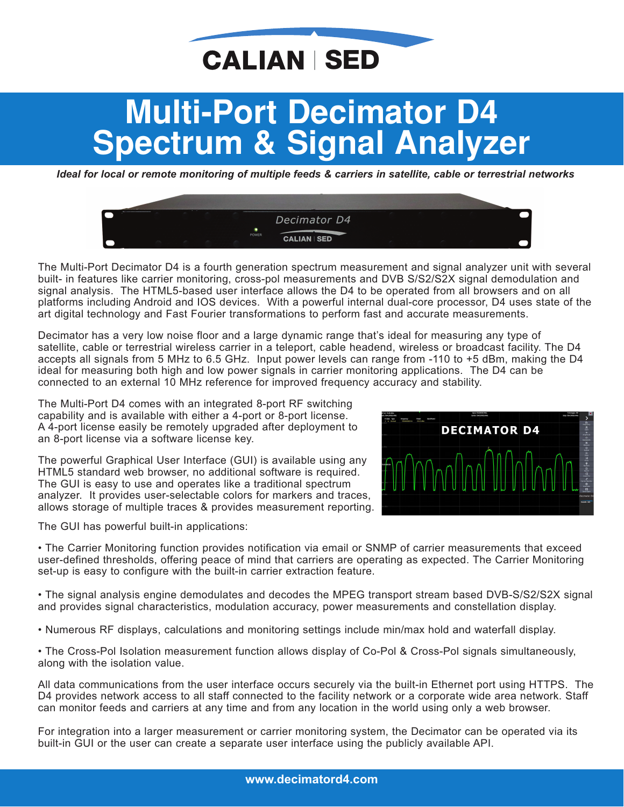### **CALIAN SED**

# **Multi−Port Decimator D4**

**Ideal for local or remote monitoring of multiple feeds & carriers in satellite, cable or terrestrial networks** 



The Multi-Port Decimator D4 is a fourth generation spectrum measurement and signal analyzer unit with several built- in features like carrier monitoring, cross-pol measurements and DVB S/S2/S2X signal demodulation and signal analysis. The HTML5-based user interface allows the D4 to be operated from all browsers and on all platforms including Android and IOS devices. With a powerful internal dual-core processor, D4 uses state of the art digital technology and Fast Fourier transformations to perform fast and accurate measurements.

Decimator has a very low noise floor and a large dynamic range that's ideal for measuring any type of satellite, cable or terrestrial wireless carrier in a teleport, cable headend, wireless or broadcast facility. The D4 accepts all signals from 5 MHz to 6.5 GHz. Input power levels can range from -110 to +5 dBm, making the D4 ideal for measuring both high and low power signals in carrier monitoring applications. The D4 can be connected to an external 10 MHz reference for improved frequency accuracy and stability.

The Multi-Port D4 comes with an integrated 8-port RF switching capability and is available with either a 4-port or 8-port license. A 4-port license easily be remotely upgraded after deployment to an 8-port license via a software license key.

The powerful Graphical User Interface (GUI) is available using any HTML5 standard web browser, no additional software is required. The GUI is easy to use and operates like a traditional spectrum analyzer. It provides user-selectable colors for markers and traces, allows storage of multiple traces & provides measurement reporting.

The GUI has powerful built-in applications:



• The Carrier Monitoring function provides notification via email or SNMP of carrier measurements that exceed user-defined thresholds, offering peace of mind that carriers are operating as expected. The Carrier Monitoring set-up is easy to configure with the built-in carrier extraction feature.

• The signal analysis engine demodulates and decodes the MPEG transport stream based DVB-S/S2/S2X signal and provides signal characteristics, modulation accuracy, power measurements and constellation display.

- Numerous RF displays, calculations and monitoring settings include min/max hold and waterfall display.
- The Cross-Pol Isolation measurement function allows display of Co-Pol & Cross-Pol signals simultaneously, along with the isolation value.

All data communications from the user interface occurs securely via the built-in Ethernet port using HTTPS. The D4 provides network access to all staff connected to the facility network or a corporate wide area network. Staff can monitor feeds and carriers at any time and from any location in the world using only a web browser.

For integration into a larger measurement or carrier monitoring system, the Decimator can be operated via its built-in GUI or the user can create a separate user interface using the publicly available API.